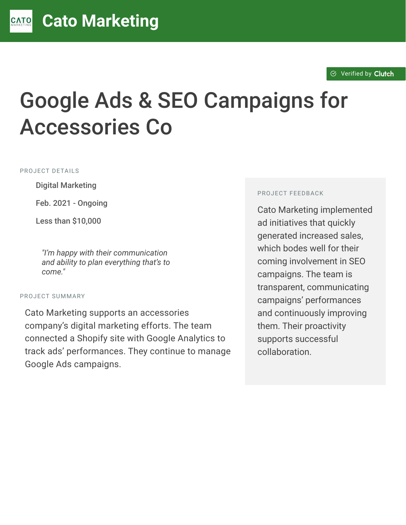#### $\otimes$  [Verified by](https://clutch.co?utm_source=case_studies&utm_medium=verified_by_clutch) Clutch

# Google Ads & SEO Campaigns for Accessories Co

PROJECT DETAILS

**Digital Marketing** 

Feb. 2021 - Ongoing

Less than \$10,000

<sup>D</sup> *"I'm happy with their communication and ability to plan everything that's to come."*

#### PROJECT SUMMARY

Cato Marketing supports an accessories company's digital marketing efforts. The team connected a Shopify site with Google Analytics to track ads' performances. They continue to manage Google Ads campaigns.

#### PROJECT FEEDBACK

Cato Marketing implemented ad initiatives that quickly generated increased sales, which bodes well for their coming involvement in SEO campaigns. The team is transparent, communicating campaigns' performances and continuously improving them. Their proactivity supports successful collaboration.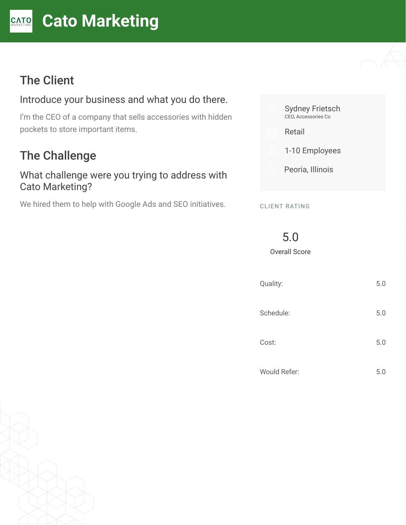#### **[C](https://clutch.co/profile/cato-marketing?utm_source=case_studies&utm_medium=logo)ato Marketing** CATO

# The Client

#### Introduce your business and what you do there.

I'm the CEO of a company that sells accessories with hidden pockets to store important items.

# The Challenge

#### What challenge were you trying to address with Cato Marketing?

We hired them to help with Google Ads and SEO initiatives.



CLIENT RATING

5.0

Overall Score

| Quality: |              | 5.0 |
|----------|--------------|-----|
|          | Schedule:    | 5.0 |
| Cost:    |              | 5.0 |
|          | Would Refer: | 5.0 |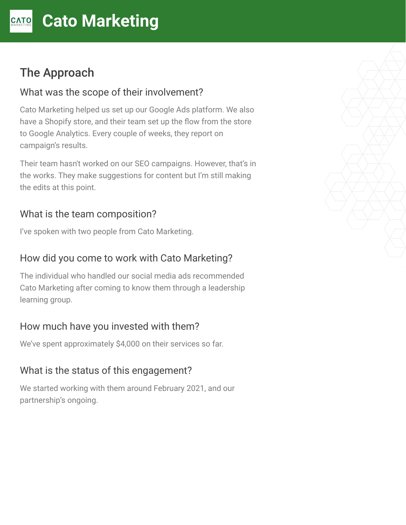# The Approach

#### What was the scope of their involvement?

Cato Marketing helped us set up our Google Ads platform. We also have a Shopify store, and their team set up the flow from the store to Google Analytics. Every couple of weeks, they report on campaign's results.

Their team hasn't worked on our SEO campaigns. However, that's in the works. They make suggestions for content but I'm still making the edits at this point.

#### What is the team composition?

I've spoken with two people from Cato Marketing.

## How did you come to work with Cato Marketing?

The individual who handled our social media ads recommended Cato Marketing after coming to know them through a leadership learning group.

## How much have you invested with them?

We've spent approximately \$4,000 on their services so far.

## What is the status of this engagement?

We started working with them around February 2021, and our partnership's ongoing.